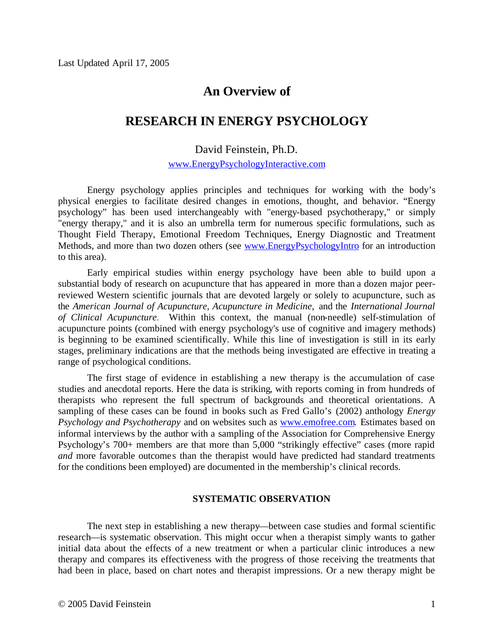# **An Overview of**

# **RESEARCH IN ENERGY PSYCHOLOGY**

# David Feinstein, Ph.D.

#### www.EnergyPsychologyInteractive.com

Energy psychology applies principles and techniques for working with the body's physical energies to facilitate desired changes in emotions, thought, and behavior. "Energy psychology" has been used interchangeably with "energy-based psychotherapy," or simply "energy therapy," and it is also an umbrella term for numerous specific formulations, such as Thought Field Therapy, Emotional Freedom Techniques, Energy Diagnostic and Treatment Methods, and more than two dozen others (see www.EnergyPsychologyIntro for an introduction to this area).

Early empirical studies within energy psychology have been able to build upon a substantial body of research on acupuncture that has appeared in more than a dozen major peerreviewed Western scientific journals that are devoted largely or solely to acupuncture, such as the *American Journal of Acupuncture, Acupuncture in Medicine,* and the *International Journal of Clinical Acupuncture*. Within this context, the manual (non-needle) self-stimulation of acupuncture points (combined with energy psychology's use of cognitive and imagery methods) is beginning to be examined scientifically. While this line of investigation is still in its early stages, preliminary indications are that the methods being investigated are effective in treating a range of psychological conditions.

The first stage of evidence in establishing a new therapy is the accumulation of case studies and anecdotal reports. Here the data is striking, with reports coming in from hundreds of therapists who represent the full spectrum of backgrounds and theoretical orientations. A sampling of these cases can be found in books such as Fred Gallo's (2002) anthology *Energy Psychology and Psychotherapy* and on websites such as www.emofree.com. Estimates based on informal interviews by the author with a sampling of the Association for Comprehensive Energy Psychology's 700+ members are that more than 5,000 "strikingly effective" cases (more rapid *and* more favorable outcomes than the therapist would have predicted had standard treatments for the conditions been employed) are documented in the membership's clinical records.

## **SYSTEMATIC OBSERVATION**

The next step in establishing a new therapy—between case studies and formal scientific research—is systematic observation. This might occur when a therapist simply wants to gather initial data about the effects of a new treatment or when a particular clinic introduces a new therapy and compares its effectiveness with the progress of those receiving the treatments that had been in place, based on chart notes and therapist impressions. Or a new therapy might be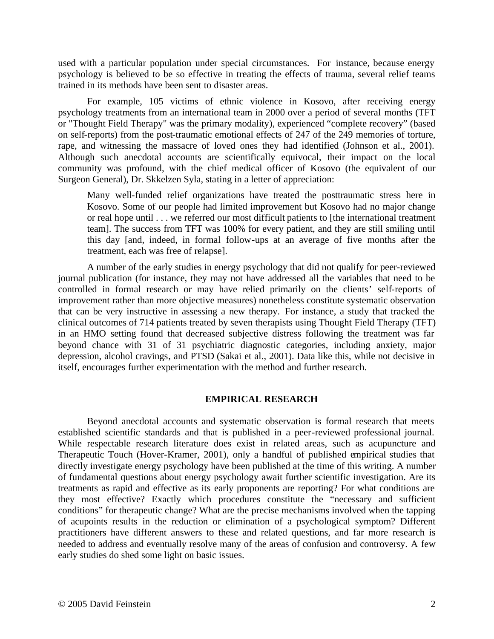used with a particular population under special circumstances. For instance, because energy psychology is believed to be so effective in treating the effects of trauma, several relief teams trained in its methods have been sent to disaster areas.

For example, 105 victims of ethnic violence in Kosovo, after receiving energy psychology treatments from an international team in 2000 over a period of several months (TFT or "Thought Field Therapy" was the primary modality), experienced "complete recovery" (based on self-reports) from the post-traumatic emotional effects of 247 of the 249 memories of torture, rape, and witnessing the massacre of loved ones they had identified (Johnson et al., 2001). Although such anecdotal accounts are scientifically equivocal, their impact on the local community was profound, with the chief medical officer of Kosovo (the equivalent of our Surgeon General), Dr. Skkelzen Syla, stating in a letter of appreciation:

Many well-funded relief organizations have treated the posttraumatic stress here in Kosovo. Some of our people had limited improvement but Kosovo had no major change or real hope until . . . we referred our most difficult patients to [the international treatment team]. The success from TFT was 100% for every patient, and they are still smiling until this day [and, indeed, in formal follow-ups at an average of five months after the treatment, each was free of relapse].

A number of the early studies in energy psychology that did not qualify for peer-reviewed journal publication (for instance, they may not have addressed all the variables that need to be controlled in formal research or may have relied primarily on the clients' self-reports of improvement rather than more objective measures) nonetheless constitute systematic observation that can be very instructive in assessing a new therapy. For instance, a study that tracked the clinical outcomes of 714 patients treated by seven therapists using Thought Field Therapy (TFT) in an HMO setting found that decreased subjective distress following the treatment was far beyond chance with 31 of 31 psychiatric diagnostic categories, including anxiety, major depression, alcohol cravings, and PTSD (Sakai et al., 2001). Data like this, while not decisive in itself, encourages further experimentation with the method and further research.

#### **EMPIRICAL RESEARCH**

Beyond anecdotal accounts and systematic observation is formal research that meets established scientific standards and that is published in a peer-reviewed professional journal. While respectable research literature does exist in related areas, such as acupuncture and Therapeutic Touch (Hover-Kramer, 2001), only a handful of published empirical studies that directly investigate energy psychology have been published at the time of this writing. A number of fundamental questions about energy psychology await further scientific investigation. Are its treatments as rapid and effective as its early proponents are reporting? For what conditions are they most effective? Exactly which procedures constitute the "necessary and sufficient conditions" for therapeutic change? What are the precise mechanisms involved when the tapping of acupoints results in the reduction or elimination of a psychological symptom? Different practitioners have different answers to these and related questions, and far more research is needed to address and eventually resolve many of the areas of confusion and controversy. A few early studies do shed some light on basic issues.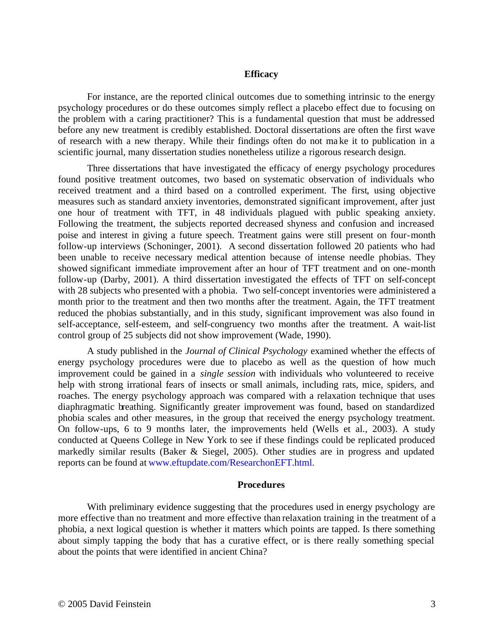#### **Efficacy**

For instance, are the reported clinical outcomes due to something intrinsic to the energy psychology procedures or do these outcomes simply reflect a placebo effect due to focusing on the problem with a caring practitioner? This is a fundamental question that must be addressed before any new treatment is credibly established. Doctoral dissertations are often the first wave of research with a new therapy. While their findings often do not ma ke it to publication in a scientific journal, many dissertation studies nonetheless utilize a rigorous research design.

Three dissertations that have investigated the efficacy of energy psychology procedures found positive treatment outcomes, two based on systematic observation of individuals who received treatment and a third based on a controlled experiment. The first, using objective measures such as standard anxiety inventories, demonstrated significant improvement, after just one hour of treatment with TFT, in 48 individuals plagued with public speaking anxiety. Following the treatment, the subjects reported decreased shyness and confusion and increased poise and interest in giving a future speech. Treatment gains were still present on four-month follow-up interviews (Schoninger, 2001). A second dissertation followed 20 patients who had been unable to receive necessary medical attention because of intense needle phobias. They showed significant immediate improvement after an hour of TFT treatment and on one-month follow-up (Darby, 2001). A third dissertation investigated the effects of TFT on self-concept with 28 subjects who presented with a phobia. Two self-concept inventories were administered a month prior to the treatment and then two months after the treatment. Again, the TFT treatment reduced the phobias substantially, and in this study, significant improvement was also found in self-acceptance, self-esteem, and self-congruency two months after the treatment. A wait-list control group of 25 subjects did not show improvement (Wade, 1990).

A study published in the *Journal of Clinical Psychology* examined whether the effects of energy psychology procedures were due to placebo as well as the question of how much improvement could be gained in a *single session* with individuals who volunteered to receive help with strong irrational fears of insects or small animals, including rats, mice, spiders, and roaches. The energy psychology approach was compared with a relaxation technique that uses diaphragmatic breathing. Significantly greater improvement was found, based on standardized phobia scales and other measures, in the group that received the energy psychology treatment. On follow-ups, 6 to 9 months later, the improvements held (Wells et al., 2003). A study conducted at Queens College in New York to see if these findings could be replicated produced markedly similar results (Baker & Siegel, 2005). Other studies are in progress and updated reports can be found at www.eftupdate.com/ResearchonEFT.html.

#### **Procedures**

With preliminary evidence suggesting that the procedures used in energy psychology are more effective than no treatment and more effective than relaxation training in the treatment of a phobia, a next logical question is whether it matters which points are tapped. Is there something about simply tapping the body that has a curative effect, or is there really something special about the points that were identified in ancient China?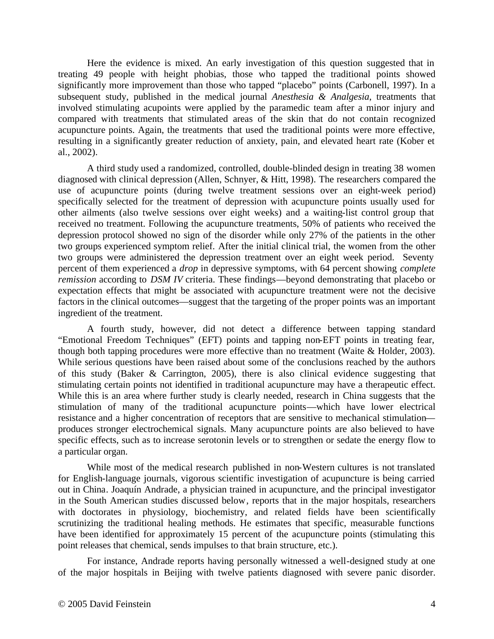Here the evidence is mixed. An early investigation of this question suggested that in treating 49 people with height phobias, those who tapped the traditional points showed significantly more improvement than those who tapped "placebo" points (Carbonell, 1997). In a subsequent study, published in the medical journal *Anesthesia & Analgesia*, treatments that involved stimulating acupoints were applied by the paramedic team after a minor injury and compared with treatments that stimulated areas of the skin that do not contain recognized acupuncture points. Again, the treatments that used the traditional points were more effective, resulting in a significantly greater reduction of anxiety, pain, and elevated heart rate (Kober et al., 2002).

A third study used a randomized, controlled, double-blinded design in treating 38 women diagnosed with clinical depression (Allen, Schnyer, & Hitt, 1998). The researchers compared the use of acupuncture points (during twelve treatment sessions over an eight-week period) specifically selected for the treatment of depression with acupuncture points usually used for other ailments (also twelve sessions over eight weeks) and a waiting-list control group that received no treatment. Following the acupuncture treatments, 50% of patients who received the depression protocol showed no sign of the disorder while only 27% of the patients in the other two groups experienced symptom relief. After the initial clinical trial, the women from the other two groups were administered the depression treatment over an eight week period. Seventy percent of them experienced a *drop* in depressive symptoms, with 64 percent showing *complete remission* according to *DSM IV* criteria. These findings—beyond demonstrating that placebo or expectation effects that might be associated with acupuncture treatment were not the decisive factors in the clinical outcomes—suggest that the targeting of the proper points was an important ingredient of the treatment.

A fourth study, however, did not detect a difference between tapping standard "Emotional Freedom Techniques" (EFT) points and tapping non-EFT points in treating fear, though both tapping procedures were more effective than no treatment (Waite & Holder, 2003). While serious questions have been raised about some of the conclusions reached by the authors of this study (Baker & Carrington, 2005), there is also clinical evidence suggesting that stimulating certain points not identified in traditional acupuncture may have a therapeutic effect. While this is an area where further study is clearly needed, research in China suggests that the stimulation of many of the traditional acupuncture points—which have lower electrical resistance and a higher concentration of receptors that are sensitive to mechanical stimulation produces stronger electrochemical signals. Many acupuncture points are also believed to have specific effects, such as to increase serotonin levels or to strengthen or sedate the energy flow to a particular organ.

While most of the medical research published in non-Western cultures is not translated for English-language journals, vigorous scientific investigation of acupuncture is being carried out in China. Joaquín Andrade, a physician trained in acupuncture, and the principal investigator in the South American studies discussed below, reports that in the major hospitals, researchers with doctorates in physiology, biochemistry, and related fields have been scientifically scrutinizing the traditional healing methods. He estimates that specific, measurable functions have been identified for approximately 15 percent of the acupuncture points (stimulating this point releases that chemical, sends impulses to that brain structure, etc.).

For instance, Andrade reports having personally witnessed a well-designed study at one of the major hospitals in Beijing with twelve patients diagnosed with severe panic disorder.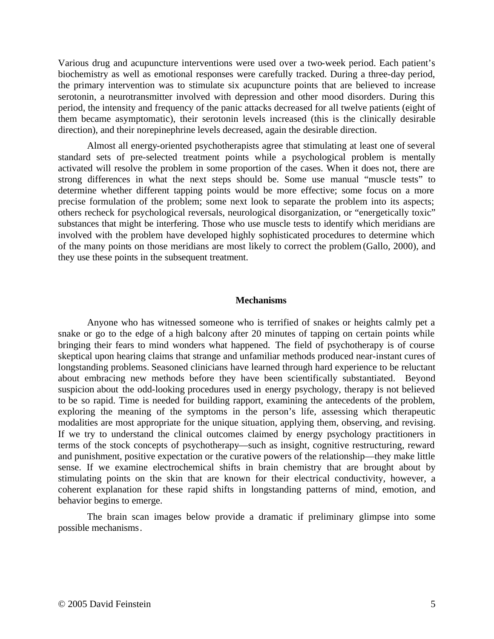Various drug and acupuncture interventions were used over a two-week period. Each patient's biochemistry as well as emotional responses were carefully tracked. During a three-day period, the primary intervention was to stimulate six acupuncture points that are believed to increase serotonin, a neurotransmitter involved with depression and other mood disorders. During this period, the intensity and frequency of the panic attacks decreased for all twelve patients (eight of them became asymptomatic), their serotonin levels increased (this is the clinically desirable direction), and their norepinephrine levels decreased, again the desirable direction.

Almost all energy-oriented psychotherapists agree that stimulating at least one of several standard sets of pre-selected treatment points while a psychological problem is mentally activated will resolve the problem in some proportion of the cases. When it does not, there are strong differences in what the next steps should be. Some use manual "muscle tests" to determine whether different tapping points would be more effective; some focus on a more precise formulation of the problem; some next look to separate the problem into its aspects; others recheck for psychological reversals, neurological disorganization, or "energetically toxic" substances that might be interfering. Those who use muscle tests to identify which meridians are involved with the problem have developed highly sophisticated procedures to determine which of the many points on those meridians are most likely to correct the problem (Gallo, 2000), and they use these points in the subsequent treatment.

#### **Mechanisms**

Anyone who has witnessed someone who is terrified of snakes or heights calmly pet a snake or go to the edge of a high balcony after 20 minutes of tapping on certain points while bringing their fears to mind wonders what happened. The field of psychotherapy is of course skeptical upon hearing claims that strange and unfamiliar methods produced near-instant cures of longstanding problems. Seasoned clinicians have learned through hard experience to be reluctant about embracing new methods before they have been scientifically substantiated. Beyond suspicion about the odd-looking procedures used in energy psychology, therapy is not believed to be so rapid. Time is needed for building rapport, examining the antecedents of the problem, exploring the meaning of the symptoms in the person's life, assessing which therapeutic modalities are most appropriate for the unique situation, applying them, observing, and revising. If we try to understand the clinical outcomes claimed by energy psychology practitioners in terms of the stock concepts of psychotherapy—such as insight, cognitive restructuring, reward and punishment, positive expectation or the curative powers of the relationship—they make little sense. If we examine electrochemical shifts in brain chemistry that are brought about by stimulating points on the skin that are known for their electrical conductivity, however, a coherent explanation for these rapid shifts in longstanding patterns of mind, emotion, and behavior begins to emerge.

The brain scan images below provide a dramatic if preliminary glimpse into some possible mechanisms.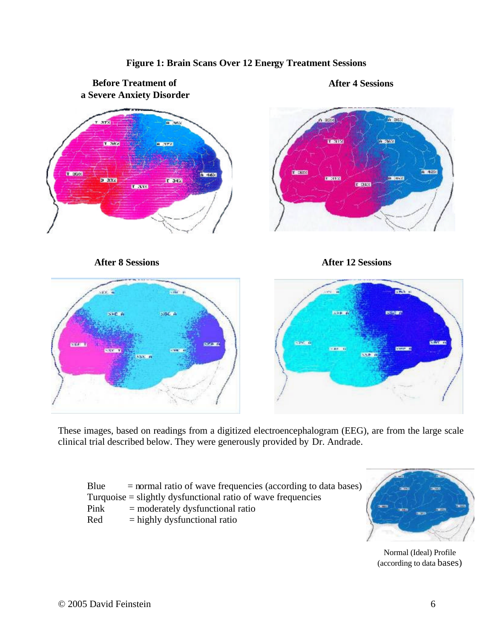



These images, based on readings from a digitized electroencephalogram (EEG), are from the large scale clinical trial described below. They were generously provided by Dr. Andrade.

| $=$ normal ratio of wave frequencies (according to data bases)<br>Blue<br>Turquoise $=$ slightly dysfunctional ratio of wave frequencies |  |
|------------------------------------------------------------------------------------------------------------------------------------------|--|
| Pink<br>$=$ moderately dysfunctional ratio                                                                                               |  |
| $=$ highly dysfunctional ratio<br>Red                                                                                                    |  |



Normal (Ideal) Profile (according to data bases)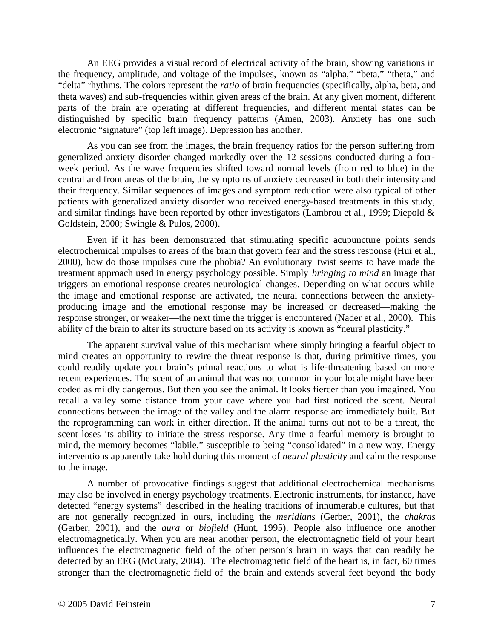An EEG provides a visual record of electrical activity of the brain, showing variations in the frequency, amplitude, and voltage of the impulses, known as "alpha," "beta," "theta," and "delta" rhythms. The colors represent the *ratio* of brain frequencies (specifically, alpha, beta, and theta waves) and sub-frequencies within given areas of the brain. At any given moment, different parts of the brain are operating at different frequencies, and different mental states can be distinguished by specific brain frequency patterns (Amen, 2003). Anxiety has one such electronic "signature" (top left image). Depression has another.

As you can see from the images, the brain frequency ratios for the person suffering from generalized anxiety disorder changed markedly over the 12 sessions conducted during a fourweek period. As the wave frequencies shifted toward normal levels (from red to blue) in the central and front areas of the brain, the symptoms of anxiety decreased in both their intensity and their frequency. Similar sequences of images and symptom reduction were also typical of other patients with generalized anxiety disorder who received energy-based treatments in this study, and similar findings have been reported by other investigators (Lambrou et al., 1999; Diepold & Goldstein, 2000; Swingle & Pulos, 2000).

Even if it has been demonstrated that stimulating specific acupuncture points sends electrochemical impulses to areas of the brain that govern fear and the stress response (Hui et al., 2000), how do those impulses cure the phobia? An evolutionary twist seems to have made the treatment approach used in energy psychology possible. Simply *bringing to mind* an image that triggers an emotional response creates neurological changes. Depending on what occurs while the image and emotional response are activated, the neural connections between the anxietyproducing image and the emotional response may be increased or decreased—making the response stronger, or weaker—the next time the trigger is encountered (Nader et al., 2000). This ability of the brain to alter its structure based on its activity is known as "neural plasticity."

The apparent survival value of this mechanism where simply bringing a fearful object to mind creates an opportunity to rewire the threat response is that, during primitive times, you could readily update your brain's primal reactions to what is life-threatening based on more recent experiences. The scent of an animal that was not common in your locale might have been coded as mildly dangerous. But then you see the animal. It looks fiercer than you imagined. You recall a valley some distance from your cave where you had first noticed the scent. Neural connections between the image of the valley and the alarm response are immediately built. But the reprogramming can work in either direction. If the animal turns out not to be a threat, the scent loses its ability to initiate the stress response. Any time a fearful memory is brought to mind, the memory becomes "labile," susceptible to being "consolidated" in a new way. Energy interventions apparently take hold during this moment of *neural plasticity* and calm the response to the image.

A number of provocative findings suggest that additional electrochemical mechanisms may also be involved in energy psychology treatments. Electronic instruments, for instance, have detected "energy systems" described in the healing traditions of innumerable cultures, but that are not generally recognized in ours, including the *meridians* (Gerber, 2001), the *chakras*  (Gerber, 2001), and the *aura* or *biofield* (Hunt, 1995). People also influence one another electromagnetically. When you are near another person, the electromagnetic field of your heart influences the electromagnetic field of the other person's brain in ways that can readily be detected by an EEG (McCraty, 2004). The electromagnetic field of the heart is, in fact, 60 times stronger than the electromagnetic field of the brain and extends several feet beyond the body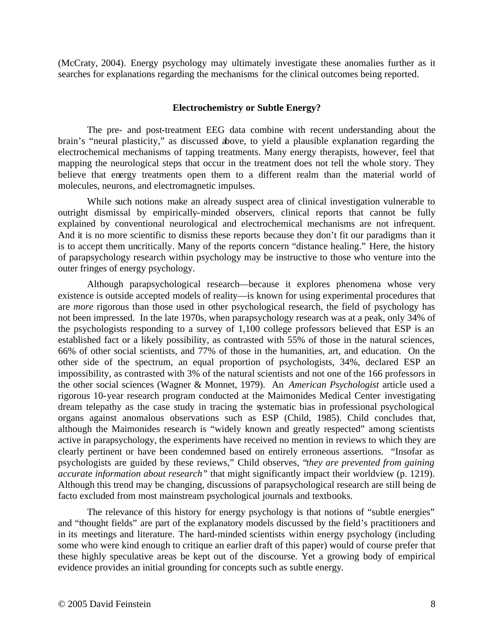(McCraty, 2004). Energy psychology may ultimately investigate these anomalies further as it searches for explanations regarding the mechanisms for the clinical outcomes being reported.

## **Electrochemistry or Subtle Energy?**

The pre- and post-treatment EEG data combine with recent understanding about the brain's "neural plasticity," as discussed above, to yield a plausible explanation regarding the electrochemical mechanisms of tapping treatments. Many energy therapists, however, feel that mapping the neurological steps that occur in the treatment does not tell the whole story. They believe that energy treatments open them to a different realm than the material world of molecules, neurons, and electromagnetic impulses.

While such notions make an already suspect area of clinical investigation vulnerable to outright dismissal by empirically-minded observers, clinical reports that cannot be fully explained by conventional neurological and electrochemical mechanisms are not infrequent. And it is no more scientific to dismiss these reports because they don't fit our paradigms than it is to accept them uncritically. Many of the reports concern "distance healing." Here, the history of parapsychology research within psychology may be instructive to those who venture into the outer fringes of energy psychology.

Although parapsychological research—because it explores phenomena whose very existence is outside accepted models of reality—is known for using experimental procedures that are *more* rigorous than those used in other psychological research, the field of psychology has not been impressed. In the late 1970s, when parapsychology research was at a peak, only 34% of the psychologists responding to a survey of 1,100 college professors believed that ESP is an established fact or a likely possibility, as contrasted with 55% of those in the natural sciences, 66% of other social scientists, and 77% of those in the humanities, art, and education. On the other side of the spectrum, an equal proportion of psychologists, 34%, declared ESP an impossibility, as contrasted with 3% of the natural scientists and not one of the 166 professors in the other social sciences (Wagner & Monnet, 1979). An *American Psychologist* article used a rigorous 10-year research program conducted at the Maimonides Medical Center investigating dream telepathy as the case study in tracing the systematic bias in professional psychological organs against anomalous observations such as ESP (Child, 1985). Child concludes that, although the Maimonides research is "widely known and greatly respected" among scientists active in parapsychology, the experiments have received no mention in reviews to which they are clearly pertinent or have been condemned based on entirely erroneous assertions. "Insofar as psychologists are guided by these reviews," Child observes, "*they are prevented from gaining accurate information about research"* that might significantly impact their worldview (p. 1219). Although this trend may be changing, discussions of parapsychological research are still being de facto excluded from most mainstream psychological journals and textbooks.

The relevance of this history for energy psychology is that notions of "subtle energies" and "thought fields" are part of the explanatory models discussed by the field's practitioners and in its meetings and literature. The hard-minded scientists within energy psychology (including some who were kind enough to critique an earlier draft of this paper) would of course prefer that these highly speculative areas be kept out of the discourse. Yet a growing body of empirical evidence provides an initial grounding for concepts such as subtle energy.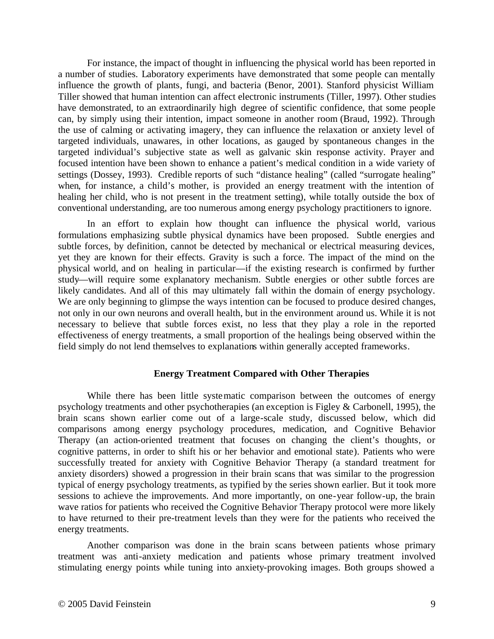For instance, the impact of thought in influencing the physical world has been reported in a number of studies. Laboratory experiments have demonstrated that some people can mentally influence the growth of plants, fungi, and bacteria (Benor, 2001). Stanford physicist William Tiller showed that human intention can affect electronic instruments (Tiller, 1997). Other studies have demonstrated, to an extraordinarily high degree of scientific confidence, that some people can, by simply using their intention, impact someone in another room (Braud, 1992). Through the use of calming or activating imagery, they can influence the relaxation or anxiety level of targeted individuals, unawares, in other locations, as gauged by spontaneous changes in the targeted individual's subjective state as well as galvanic skin response activity. Prayer and focused intention have been shown to enhance a patient's medical condition in a wide variety of settings (Dossey, 1993). Credible reports of such "distance healing" (called "surrogate healing" when, for instance, a child's mother, is provided an energy treatment with the intention of healing her child, who is not present in the treatment setting), while totally outside the box of conventional understanding, are too numerous among energy psychology practitioners to ignore.

In an effort to explain how thought can influence the physical world, various formulations emphasizing subtle physical dynamics have been proposed. Subtle energies and subtle forces, by definition, cannot be detected by mechanical or electrical measuring devices, yet they are known for their effects. Gravity is such a force. The impact of the mind on the physical world, and on healing in particular—if the existing research is confirmed by further study—will require some explanatory mechanism. Subtle energies or other subtle forces are likely candidates. And all of this may ultimately fall within the domain of energy psychology. We are only beginning to glimpse the ways intention can be focused to produce desired changes, not only in our own neurons and overall health, but in the environment around us. While it is not necessary to believe that subtle forces exist, no less that they play a role in the reported effectiveness of energy treatments, a small proportion of the healings being observed within the field simply do not lend themselves to explanations within generally accepted frameworks.

## **Energy Treatment Compared with Other Therapies**

While there has been little systematic comparison between the outcomes of energy psychology treatments and other psychotherapies (an exception is Figley & Carbonell, 1995), the brain scans shown earlier come out of a large-scale study, discussed below, which did comparisons among energy psychology procedures, medication, and Cognitive Behavior Therapy (an action-oriented treatment that focuses on changing the client's thoughts, or cognitive patterns, in order to shift his or her behavior and emotional state). Patients who were successfully treated for anxiety with Cognitive Behavior Therapy (a standard treatment for anxiety disorders) showed a progression in their brain scans that was similar to the progression typical of energy psychology treatments, as typified by the series shown earlier. But it took more sessions to achieve the improvements. And more importantly, on one-year follow-up, the brain wave ratios for patients who received the Cognitive Behavior Therapy protocol were more likely to have returned to their pre-treatment levels than they were for the patients who received the energy treatments.

Another comparison was done in the brain scans between patients whose primary treatment was anti-anxiety medication and patients whose primary treatment involved stimulating energy points while tuning into anxiety-provoking images. Both groups showed a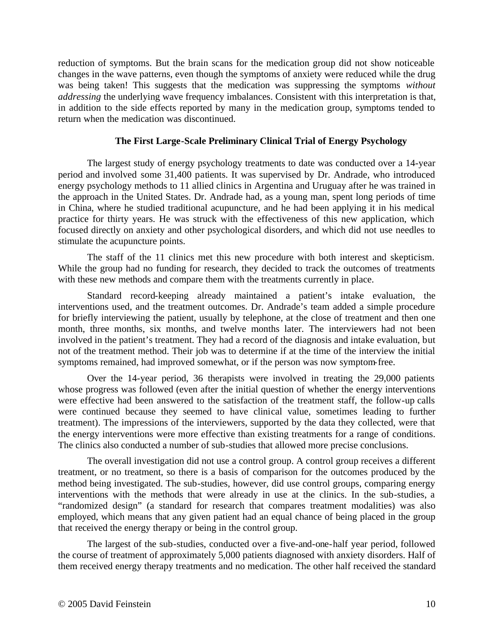reduction of symptoms. But the brain scans for the medication group did not show noticeable changes in the wave patterns, even though the symptoms of anxiety were reduced while the drug was being taken! This suggests that the medication was suppressing the symptoms *without addressing* the underlying wave frequency imbalances. Consistent with this interpretation is that, in addition to the side effects reported by many in the medication group, symptoms tended to return when the medication was discontinued.

# **The First Large-Scale Preliminary Clinical Trial of Energy Psychology**

The largest study of energy psychology treatments to date was conducted over a 14-year period and involved some 31,400 patients. It was supervised by Dr. Andrade, who introduced energy psychology methods to 11 allied clinics in Argentina and Uruguay after he was trained in the approach in the United States. Dr. Andrade had, as a young man, spent long periods of time in China, where he studied traditional acupuncture, and he had been applying it in his medical practice for thirty years. He was struck with the effectiveness of this new application, which focused directly on anxiety and other psychological disorders, and which did not use needles to stimulate the acupuncture points.

The staff of the 11 clinics met this new procedure with both interest and skepticism. While the group had no funding for research, they decided to track the outcomes of treatments with these new methods and compare them with the treatments currently in place.

Standard record-keeping already maintained a patient's intake evaluation, the interventions used, and the treatment outcomes. Dr. Andrade's team added a simple procedure for briefly interviewing the patient, usually by telephone, at the close of treatment and then one month, three months, six months, and twelve months later. The interviewers had not been involved in the patient's treatment. They had a record of the diagnosis and intake evaluation, but not of the treatment method. Their job was to determine if at the time of the interview the initial symptoms remained, had improved somewhat, or if the person was now symptom-free.

Over the 14-year period, 36 therapists were involved in treating the 29,000 patients whose progress was followed (even after the initial question of whether the energy interventions were effective had been answered to the satisfaction of the treatment staff, the follow-up calls were continued because they seemed to have clinical value, sometimes leading to further treatment). The impressions of the interviewers, supported by the data they collected, were that the energy interventions were more effective than existing treatments for a range of conditions. The clinics also conducted a number of sub-studies that allowed more precise conclusions.

The overall investigation did not use a control group. A control group receives a different treatment, or no treatment, so there is a basis of comparison for the outcomes produced by the method being investigated. The sub-studies, however, did use control groups, comparing energy interventions with the methods that were already in use at the clinics. In the sub-studies, a "randomized design" (a standard for research that compares treatment modalities) was also employed, which means that any given patient had an equal chance of being placed in the group that received the energy therapy or being in the control group.

The largest of the sub-studies, conducted over a five-and-one-half year period, followed the course of treatment of approximately 5,000 patients diagnosed with anxiety disorders. Half of them received energy therapy treatments and no medication. The other half received the standard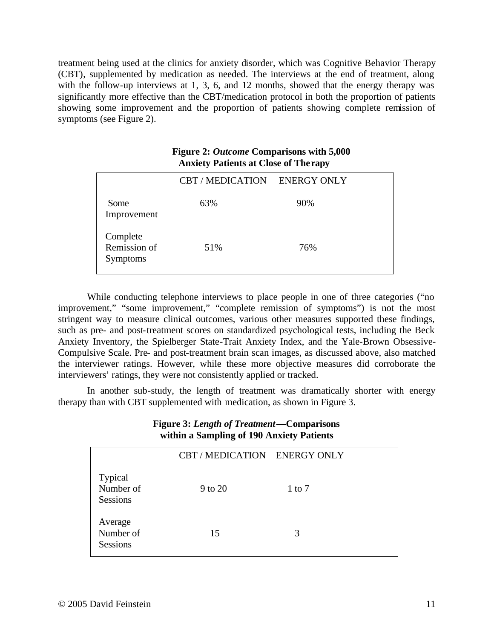treatment being used at the clinics for anxiety disorder, which was Cognitive Behavior Therapy (CBT), supplemented by medication as needed. The interviews at the end of treatment, along with the follow-up interviews at 1, 3, 6, and 12 months, showed that the energy therapy was significantly more effective than the CBT/medication protocol in both the proportion of patients showing some improvement and the proportion of patients showing complete remission of symptoms (see Figure 2).

|                                             | <b>Anxiety Patients at Close of The rapy</b> |     |  |
|---------------------------------------------|----------------------------------------------|-----|--|
|                                             | CBT/MEDICATION ENERGY ONLY                   |     |  |
| Some<br>Improvement                         | 63%                                          | 90% |  |
| Complete<br>Remission of<br><b>Symptoms</b> | 51%                                          | 76% |  |

# **Figure 2:** *Outcome* **Comparisons with 5,000**

While conducting telephone interviews to place people in one of three categories ("no improvement," "some improvement," "complete remission of symptoms") is not the most stringent way to measure clinical outcomes, various other measures supported these findings, such as pre- and post-treatment scores on standardized psychological tests, including the Beck Anxiety Inventory, the Spielberger State-Trait Anxiety Index, and the Yale-Brown Obsessive-Compulsive Scale. Pre- and post-treatment brain scan images, as discussed above, also matched the interviewer ratings. However, while these more objective measures did corroborate the interviewers' ratings, they were not consistently applied or tracked.

In another sub-study, the length of treatment was dramatically shorter with energy therapy than with CBT supplemented with medication, as shown in Figure 3.

| <b>Figure 3: Length of Treatment—Comparisons</b> |
|--------------------------------------------------|
| within a Sampling of 190 Anxiety Patients        |

|                                         | л.<br>$\bullet$              | $\cdot$    |  |
|-----------------------------------------|------------------------------|------------|--|
|                                         | CBT / MEDICATION ENERGY ONLY |            |  |
| Typical<br>Number of<br><b>Sessions</b> | 9 to 20                      | $1$ to $7$ |  |
| Average<br>Number of<br><b>Sessions</b> | 15                           | 3          |  |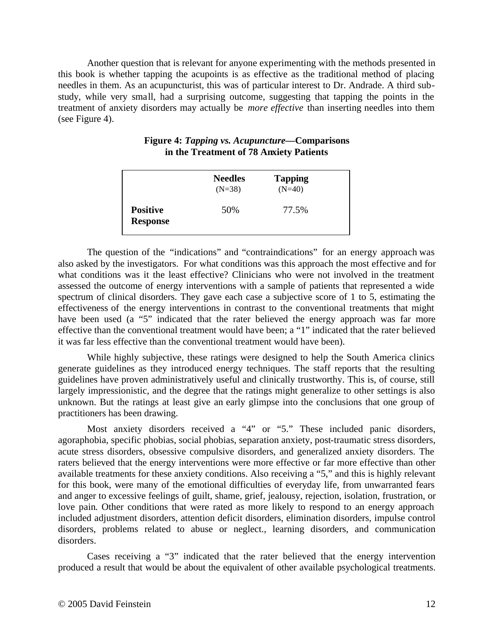Another question that is relevant for anyone experimenting with the methods presented in this book is whether tapping the acupoints is as effective as the traditional method of placing needles in them. As an acupuncturist, this was of particular interest to Dr. Andrade. A third substudy, while very small, had a surprising outcome, suggesting that tapping the points in the treatment of anxiety disorders may actually be *more effective* than inserting needles into them (see Figure 4).

| <b>Figure 4: Tapping vs. Acupuncture—Comparisons</b> |  |
|------------------------------------------------------|--|
| in the Treatment of 78 Anxiety Patients              |  |

|                                    | <b>Needles</b><br>$(N=38)$ | <b>Tapping</b><br>$(N=40)$ |  |
|------------------------------------|----------------------------|----------------------------|--|
| <b>Positive</b><br><b>Response</b> | 50%                        | 77.5%                      |  |

The question of the "indications" and "contraindications" for an energy approach was also asked by the investigators. For what conditions was this approach the most effective and for what conditions was it the least effective? Clinicians who were not involved in the treatment assessed the outcome of energy interventions with a sample of patients that represented a wide spectrum of clinical disorders. They gave each case a subjective score of 1 to 5, estimating the effectiveness of the energy interventions in contrast to the conventional treatments that might have been used (a "5" indicated that the rater believed the energy approach was far more effective than the conventional treatment would have been; a "1" indicated that the rater believed it was far less effective than the conventional treatment would have been).

While highly subjective, these ratings were designed to help the South America clinics generate guidelines as they introduced energy techniques. The staff reports that the resulting guidelines have proven administratively useful and clinically trustworthy. This is, of course, still largely impressionistic, and the degree that the ratings might generalize to other settings is also unknown. But the ratings at least give an early glimpse into the conclusions that one group of practitioners has been drawing.

Most anxiety disorders received a "4" or "5." These included panic disorders, agoraphobia, specific phobias, social phobias, separation anxiety, post-traumatic stress disorders, acute stress disorders, obsessive compulsive disorders, and generalized anxiety disorders. The raters believed that the energy interventions were more effective or far more effective than other available treatments for these anxiety conditions. Also receiving a "5," and this is highly relevant for this book, were many of the emotional difficulties of everyday life, from unwarranted fears and anger to excessive feelings of guilt, shame, grief, jealousy, rejection, isolation, frustration, or love pain. Other conditions that were rated as more likely to respond to an energy approach included adjustment disorders, attention deficit disorders, elimination disorders, impulse control disorders, problems related to abuse or neglect., learning disorders, and communication disorders.

Cases receiving a "3" indicated that the rater believed that the energy intervention produced a result that would be about the equivalent of other available psychological treatments.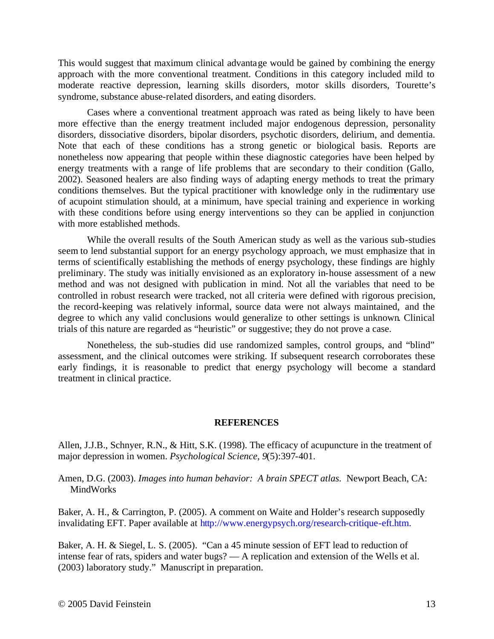This would suggest that maximum clinical advantage would be gained by combining the energy approach with the more conventional treatment. Conditions in this category included mild to moderate reactive depression, learning skills disorders, motor skills disorders, Tourette's syndrome, substance abuse-related disorders, and eating disorders.

Cases where a conventional treatment approach was rated as being likely to have been more effective than the energy treatment included major endogenous depression, personality disorders, dissociative disorders, bipolar disorders, psychotic disorders, delirium, and dementia. Note that each of these conditions has a strong genetic or biological basis. Reports are nonetheless now appearing that people within these diagnostic categories have been helped by energy treatments with a range of life problems that are secondary to their condition (Gallo, 2002). Seasoned healers are also finding ways of adapting energy methods to treat the primary conditions themselves. But the typical practitioner with knowledge only in the rudimentary use of acupoint stimulation should, at a minimum, have special training and experience in working with these conditions before using energy interventions so they can be applied in conjunction with more established methods.

While the overall results of the South American study as well as the various sub-studies seem to lend substantial support for an energy psychology approach, we must emphasize that in terms of scientifically establishing the methods of energy psychology, these findings are highly preliminary. The study was initially envisioned as an exploratory in-house assessment of a new method and was not designed with publication in mind. Not all the variables that need to be controlled in robust research were tracked, not all criteria were defined with rigorous precision, the record-keeping was relatively informal, source data were not always maintained, and the degree to which any valid conclusions would generalize to other settings is unknown. Clinical trials of this nature are regarded as "heuristic" or suggestive; they do not prove a case.

Nonetheless, the sub-studies did use randomized samples, control groups, and "blind" assessment, and the clinical outcomes were striking. If subsequent research corroborates these early findings, it is reasonable to predict that energy psychology will become a standard treatment in clinical practice.

#### **REFERENCES**

Allen, J.J.B., Schnyer, R.N., & Hitt, S.K. (1998). The efficacy of acupuncture in the treatment of major depression in women. *Psychological Science, 9*(5):397-401.

Amen, D.G. (2003). *Images into human behavior: A brain SPECT atlas.* Newport Beach, CA: MindWorks

Baker, A. H., & Carrington, P. (2005). A comment on Waite and Holder's research supposedly invalidating EFT. Paper available at http://www.energypsych.org/research-critique-eft.htm.

Baker, A. H. & Siegel, L. S. (2005). "Can a 45 minute session of EFT lead to reduction of intense fear of rats, spiders and water bugs? –– A replication and extension of the Wells et al. (2003) laboratory study." Manuscript in preparation.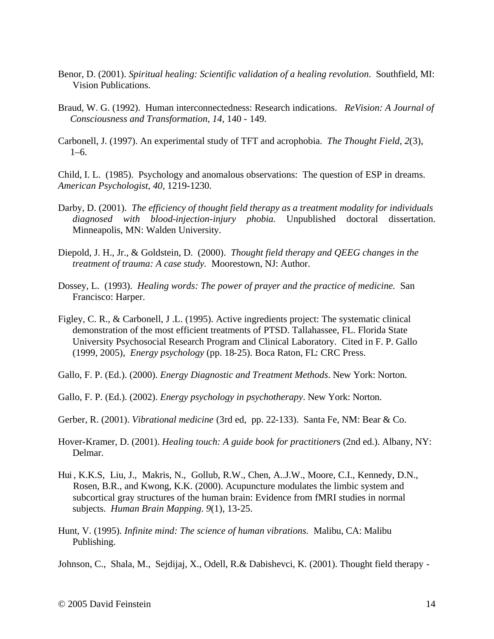- Benor, D. (2001). *Spiritual healing: Scientific validation of a healing revolution*. Southfield, MI: Vision Publications.
- Braud, W. G. (1992). Human interconnectedness: Research indications. *ReVision: A Journal of Consciousness and Transformation*, *14*, 140 - 149.
- Carbonell, J. (1997). An experimental study of TFT and acrophobia. *The Thought Field*, *2*(3),  $1-6.$

Child, I. L. (1985). Psychology and anomalous observations: The question of ESP in dreams. *American Psychologist*, *40*, 1219-1230.

- Darby, D. (2001). *The efficiency of thought field therapy as a treatment modality for individuals diagnosed with blood-injection-injury phobia.* Unpublished doctoral dissertation. Minneapolis, MN: Walden University.
- Diepold, J. H., Jr., & Goldstein, D. (2000). *Thought field therapy and QEEG changes in the treatment of trauma: A case study.* Moorestown, NJ: Author.
- Dossey, L. (1993). *Healing words: The power of prayer and the practice of medicine.* San Francisco: Harper.
- Figley, C. R., & Carbonell, J .L. (1995). Active ingredients project: The systematic clinical demonstration of the most efficient treatments of PTSD. Tallahassee, FL. Florida State University Psychosocial Research Program and Clinical Laboratory. Cited in F. P. Gallo (1999, 2005), *Energy psychology* (pp. 18-25). Boca Raton, FL: CRC Press.
- Gallo, F. P. (Ed.). (2000). *Energy Diagnostic and Treatment Methods*. New York: Norton.
- Gallo, F. P. (Ed.). (2002). *Energy psychology in psychotherapy*. New York: Norton.
- Gerber, R. (2001). *Vibrational medicine* (3rd ed, pp. 22-133). Santa Fe, NM: Bear & Co.
- Hover-Kramer, D. (2001). *Healing touch: A guide book for practitioner*s (2nd ed.). Albany, NY: Delmar.
- Hui , K.K.S, Liu, J., Makris, N., Gollub, R.W., Chen, A..J.W., Moore, C.I., Kennedy, D.N., Rosen, B.R., and Kwong, K.K. (2000). Acupuncture modulates the limbic system and subcortical gray structures of the human brain: Evidence from fMRI studies in normal subjects. *Human Brain Mapping*. *9*(1), 13-25.
- Hunt, V. (1995). *Infinite mind: The science of human vibrations.* Malibu, CA: Malibu Publishing.

Johnson, C., Shala, M., Sejdijaj, X., Odell, R.& Dabishevci, K. (2001). Thought field therapy -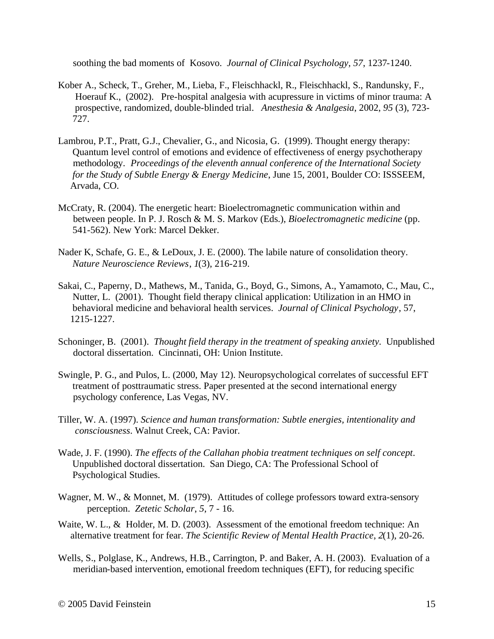soothing the bad moments of Kosovo. *Journal of Clinical Psychology, 57*, 1237-1240.

- Kober A., Scheck, T., Greher, M., Lieba, F., Fleischhackl, R., Fleischhackl, S., Randunsky, F., Hoerauf K., (2002). Pre-hospital analgesia with acupressure in victims of minor trauma: A prospective, randomized, double-blinded trial. *Anesthesia & Analgesia*, 2002, *95* (3), 723- 727.
- Lambrou, P.T., Pratt, G.J., Chevalier, G., and Nicosia, G. (1999). Thought energy therapy: Quantum level control of emotions and evidence of effectiveness of energy psychotherapy methodology. *Proceedings of the eleventh annual conference of the International Society for the Study of Subtle Energy & Energy Medicine*, June 15, 2001, Boulder CO: ISSSEEM, Arvada, CO.
- McCraty, R. (2004). The energetic heart: Bioelectromagnetic communication within and between people. In P. J. Rosch & M. S. Markov (Eds.), *Bioelectromagnetic medicine* (pp. 541-562). New York: Marcel Dekker.
- Nader K, Schafe, G. E., & LeDoux, J. E. (2000). The labile nature of consolidation theory. *Nature Neuroscience Reviews*, *1*(3), 216-219.
- Sakai, C., Paperny, D., Mathews, M., Tanida, G., Boyd, G., Simons, A., Yamamoto, C., Mau, C., Nutter, L. (2001). Thought field therapy clinical application: Utilization in an HMO in behavioral medicine and behavioral health services. *Journal of Clinical Psychology*, 57, 1215-1227.
- Schoninger, B. (2001). *Thought field therapy in the treatment of speaking anxiety.* Unpublished doctoral dissertation. Cincinnati, OH: Union Institute.
- Swingle, P. G., and Pulos, L. (2000, May 12). Neuropsychological correlates of successful EFT treatment of posttraumatic stress. Paper presented at the second international energy psychology conference, Las Vegas, NV.
- Tiller, W. A. (1997). *Science and human transformation: Subtle energies, intentionality and consciousness*. Walnut Creek, CA: Pavior.
- Wade, J. F. (1990). *The effects of the Callahan phobia treatment techniques on self concept*. Unpublished doctoral dissertation. San Diego, CA: The Professional School of Psychological Studies.
- Wagner, M. W., & Monnet, M. (1979). Attitudes of college professors toward extra-sensory perception. *Zetetic Scholar*, *5*, 7 - 16.
- Waite, W. L., & Holder, M. D. (2003). Assessment of the emotional freedom technique: An alternative treatment for fear. *The Scientific Review of Mental Health Practice*, *2*(1), 20-26.
- Wells, S., Polglase, K., Andrews, H.B., Carrington, P. and Baker, A. H. (2003). Evaluation of a meridian-based intervention, emotional freedom techniques (EFT), for reducing specific